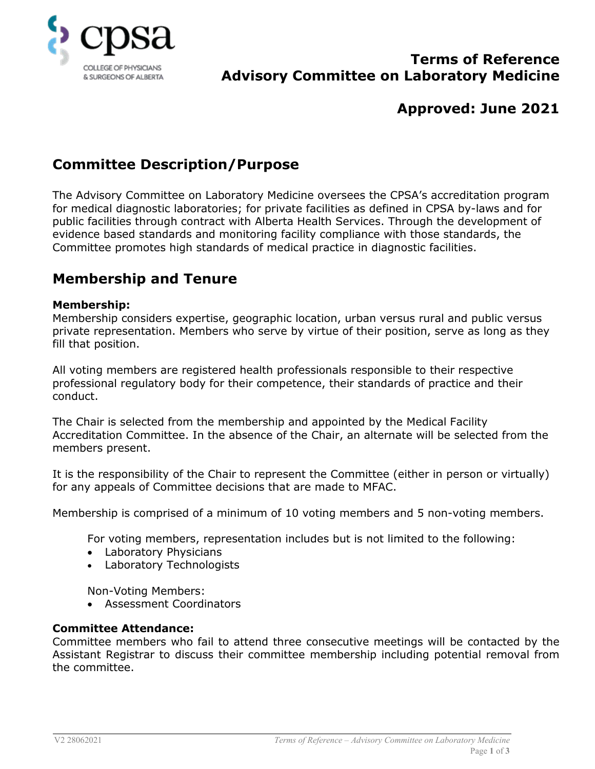

## **Terms of Reference Advisory Committee on Laboratory Medicine**

# **Approved: June 2021**

# **Committee Description/Purpose**

The Advisory Committee on Laboratory Medicine oversees the CPSA's accreditation program for medical diagnostic laboratories; for private facilities as defined in CPSA by-laws and for public facilities through contract with Alberta Health Services. Through the development of evidence based standards and monitoring facility compliance with those standards, the Committee promotes high standards of medical practice in diagnostic facilities.

# **Membership and Tenure**

### **Membership:**

Membership considers expertise, geographic location, urban versus rural and public versus private representation. Members who serve by virtue of their position, serve as long as they fill that position.

All voting members are registered health professionals responsible to their respective professional regulatory body for their competence, their standards of practice and their conduct.

The Chair is selected from the membership and appointed by the Medical Facility Accreditation Committee. In the absence of the Chair, an alternate will be selected from the members present.

It is the responsibility of the Chair to represent the Committee (either in person or virtually) for any appeals of Committee decisions that are made to MFAC.

Membership is comprised of a minimum of 10 voting members and 5 non-voting members.

For voting members, representation includes but is not limited to the following:

- Laboratory Physicians
- Laboratory Technologists

Non-Voting Members:

• Assessment Coordinators

### **Committee Attendance:**

Committee members who fail to attend three consecutive meetings will be contacted by the Assistant Registrar to discuss their committee membership including potential removal from the committee.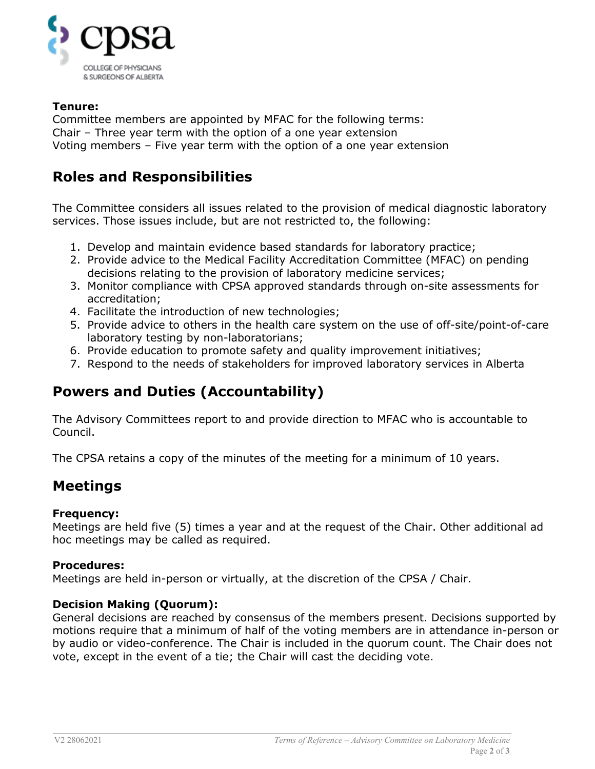

## **Tenure:**

Committee members are appointed by MFAC for the following terms: Chair – Three year term with the option of a one year extension Voting members – Five year term with the option of a one year extension

# **Roles and Responsibilities**

The Committee considers all issues related to the provision of medical diagnostic laboratory services. Those issues include, but are not restricted to, the following:

- 1. Develop and maintain evidence based standards for laboratory practice;
- 2. Provide advice to the Medical Facility Accreditation Committee (MFAC) on pending decisions relating to the provision of laboratory medicine services;
- 3. Monitor compliance with CPSA approved standards through on-site assessments for accreditation;
- 4. Facilitate the introduction of new technologies;
- 5. Provide advice to others in the health care system on the use of off-site/point-of-care laboratory testing by non-laboratorians;
- 6. Provide education to promote safety and quality improvement initiatives;
- 7. Respond to the needs of stakeholders for improved laboratory services in Alberta

## **Powers and Duties (Accountability)**

The Advisory Committees report to and provide direction to MFAC who is accountable to Council.

The CPSA retains a copy of the minutes of the meeting for a minimum of 10 years.

## **Meetings**

### **Frequency:**

Meetings are held five (5) times a year and at the request of the Chair. Other additional ad hoc meetings may be called as required.

### **Procedures:**

Meetings are held in-person or virtually, at the discretion of the CPSA / Chair.

### **Decision Making (Quorum):**

General decisions are reached by consensus of the members present. Decisions supported by motions require that a minimum of half of the voting members are in attendance in-person or by audio or video-conference. The Chair is included in the quorum count. The Chair does not vote, except in the event of a tie; the Chair will cast the deciding vote.